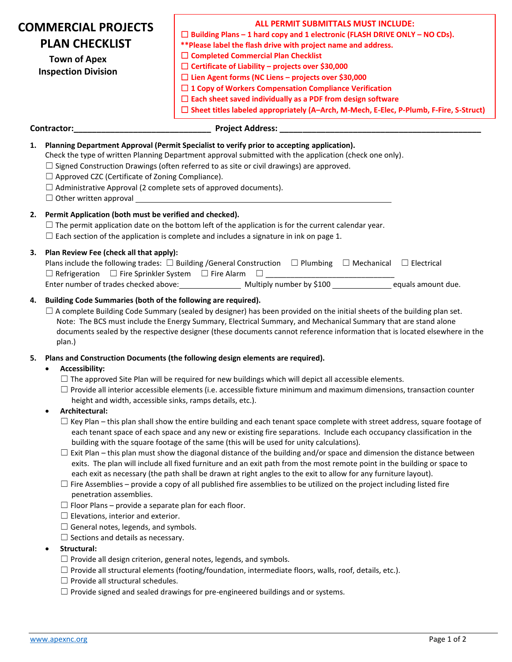| <b>COMMERCIAL PROJECTS</b><br><b>PLAN CHECKLIST</b><br><b>Town of Apex</b><br><b>Inspection Division</b> |                                                                                                                                                                                                                                                                                                                                                                                                                                    | <b>ALL PERMIT SUBMITTALS MUST INCLUDE:</b><br>$\Box$ Building Plans - 1 hard copy and 1 electronic (FLASH DRIVE ONLY - NO CDs).<br>** Please label the flash drive with project name and address.<br>$\Box$ Completed Commercial Plan Checklist<br>$\Box$ Certificate of Liability - projects over \$30,000<br>$\Box$ Lien Agent forms (NC Liens - projects over \$30,000<br>$\Box$ 1 Copy of Workers Compensation Compliance Verification<br>$\Box$ Each sheet saved individually as a PDF from design software<br>□ Sheet titles labeled appropriately (A-Arch, M-Mech, E-Elec, P-Plumb, F-Fire, S-Struct)                                                                                                                                                                                                                                                                                                                                                                                                                                                                                                                                                                                                                                                                                                                                                                                         |
|----------------------------------------------------------------------------------------------------------|------------------------------------------------------------------------------------------------------------------------------------------------------------------------------------------------------------------------------------------------------------------------------------------------------------------------------------------------------------------------------------------------------------------------------------|------------------------------------------------------------------------------------------------------------------------------------------------------------------------------------------------------------------------------------------------------------------------------------------------------------------------------------------------------------------------------------------------------------------------------------------------------------------------------------------------------------------------------------------------------------------------------------------------------------------------------------------------------------------------------------------------------------------------------------------------------------------------------------------------------------------------------------------------------------------------------------------------------------------------------------------------------------------------------------------------------------------------------------------------------------------------------------------------------------------------------------------------------------------------------------------------------------------------------------------------------------------------------------------------------------------------------------------------------------------------------------------------------|
|                                                                                                          | Contractor:                                                                                                                                                                                                                                                                                                                                                                                                                        |                                                                                                                                                                                                                                                                                                                                                                                                                                                                                                                                                                                                                                                                                                                                                                                                                                                                                                                                                                                                                                                                                                                                                                                                                                                                                                                                                                                                      |
| 1.<br>2.                                                                                                 | $\Box$ Approved CZC (Certificate of Zoning Compliance).<br>$\Box$ Administrative Approval (2 complete sets of approved documents).<br>Permit Application (both must be verified and checked).                                                                                                                                                                                                                                      | Planning Department Approval (Permit Specialist to verify prior to accepting application).<br>Check the type of written Planning Department approval submitted with the application (check one only).<br>$\Box$ Signed Construction Drawings (often referred to as site or civil drawings) are approved.<br>$\Box$ Other written approval $\Box$                                                                                                                                                                                                                                                                                                                                                                                                                                                                                                                                                                                                                                                                                                                                                                                                                                                                                                                                                                                                                                                     |
|                                                                                                          | $\Box$ The permit application date on the bottom left of the application is for the current calendar year.<br>$\Box$ Each section of the application is complete and includes a signature in ink on page 1.                                                                                                                                                                                                                        |                                                                                                                                                                                                                                                                                                                                                                                                                                                                                                                                                                                                                                                                                                                                                                                                                                                                                                                                                                                                                                                                                                                                                                                                                                                                                                                                                                                                      |
| З.                                                                                                       | Plan Review Fee (check all that apply):<br>Plans include the following trades: $\Box$ Building /General Construction $\Box$ Plumbing $\Box$ Mechanical $\Box$ Electrical                                                                                                                                                                                                                                                           |                                                                                                                                                                                                                                                                                                                                                                                                                                                                                                                                                                                                                                                                                                                                                                                                                                                                                                                                                                                                                                                                                                                                                                                                                                                                                                                                                                                                      |
| 4.                                                                                                       | Building Code Summaries (both of the following are required).<br>plan.)                                                                                                                                                                                                                                                                                                                                                            | $\Box$ A complete Building Code Summary (sealed by designer) has been provided on the initial sheets of the building plan set.<br>Note: The BCS must include the Energy Summary, Electrical Summary, and Mechanical Summary that are stand alone<br>documents sealed by the respective designer (these documents cannot reference information that is located elsewhere in the                                                                                                                                                                                                                                                                                                                                                                                                                                                                                                                                                                                                                                                                                                                                                                                                                                                                                                                                                                                                                       |
| 5.                                                                                                       | <b>Accessibility:</b><br>$\bullet$<br>height and width, accessible sinks, ramps details, etc.).<br>Architectural:<br>٠<br>penetration assemblies.<br>$\Box$ Floor Plans – provide a separate plan for each floor.<br>$\Box$ Elevations, interior and exterior.<br>$\Box$ General notes, legends, and symbols.<br>$\Box$ Sections and details as necessary.<br>Structural:<br>$\bullet$<br>$\Box$ Provide all structural schedules. | Plans and Construction Documents (the following design elements are required).<br>$\Box$ The approved Site Plan will be required for new buildings which will depict all accessible elements.<br>$\Box$ Provide all interior accessible elements (i.e. accessible fixture minimum and maximum dimensions, transaction counter<br>$\Box$ Key Plan – this plan shall show the entire building and each tenant space complete with street address, square footage of<br>each tenant space of each space and any new or existing fire separations. Include each occupancy classification in the<br>building with the square footage of the same (this will be used for unity calculations).<br>$\Box$ Exit Plan – this plan must show the diagonal distance of the building and/or space and dimension the distance between<br>exits. The plan will include all fixed furniture and an exit path from the most remote point in the building or space to<br>each exit as necessary (the path shall be drawn at right angles to the exit to allow for any furniture layout).<br>$\Box$ Fire Assemblies – provide a copy of all published fire assemblies to be utilized on the project including listed fire<br>$\Box$ Provide all design criterion, general notes, legends, and symbols.<br>$\Box$ Provide all structural elements (footing/foundation, intermediate floors, walls, roof, details, etc.). |